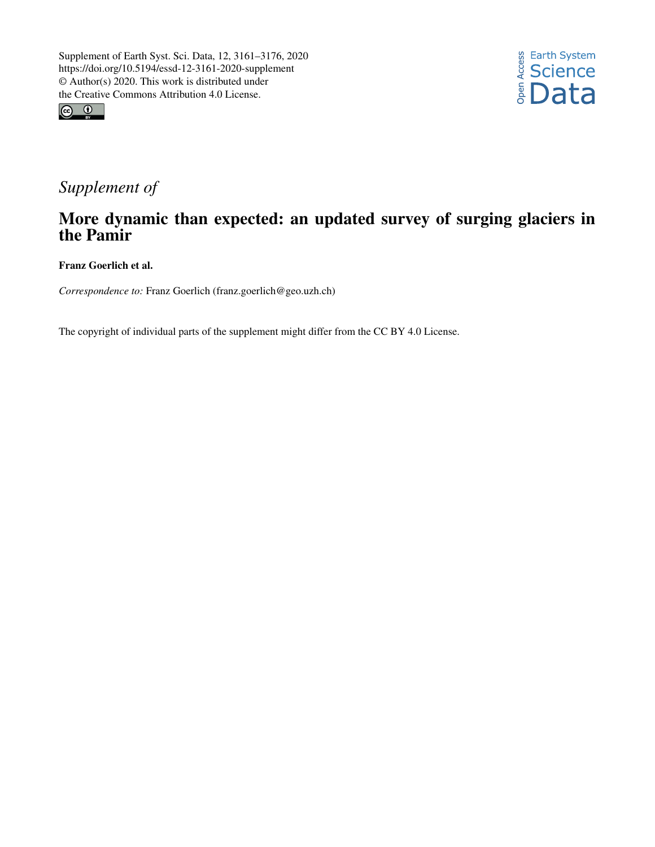



## *Supplement of*

## More dynamic than expected: an updated survey of surging glaciers in the Pamir

Franz Goerlich et al.

*Correspondence to:* Franz Goerlich (franz.goerlich@geo.uzh.ch)

The copyright of individual parts of the supplement might differ from the CC BY 4.0 License.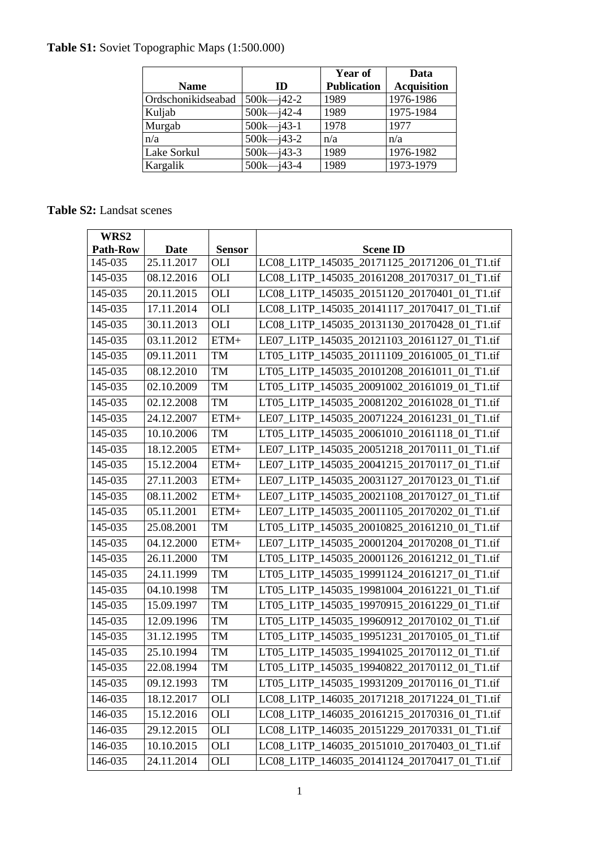## **Table S1:** Soviet Topographic Maps (1:500.000)

|                    |                | <b>Year of</b>     | Data               |
|--------------------|----------------|--------------------|--------------------|
| <b>Name</b>        | ID             | <b>Publication</b> | <b>Acquisition</b> |
| Ordschonikidseabad | $500k - j42-2$ | 1989               | 1976-1986          |
| Kuljab             | $500k - j42-4$ | 1989               | 1975-1984          |
| Murgab             | $500k - j43-1$ | 1978               | 1977               |
| n/a                | $500k - j43-2$ | n/a                | n/a                |
| <b>Lake Sorkul</b> | $500k - j43-3$ | 1989               | 1976-1982          |
| Kargalik           | $500k - j43-4$ | 1989               | 1973-1979          |

## **Table S2:** Landsat scenes

| WRS2            |             |               |                                              |
|-----------------|-------------|---------------|----------------------------------------------|
| <b>Path-Row</b> | <b>Date</b> | <b>Sensor</b> | <b>Scene ID</b>                              |
| 145-035         | 25.11.2017  | OLI           | LC08 L1TP 145035 20171125 20171206 01 T1.tif |
| 145-035         | 08.12.2016  | OLI           | LC08_L1TP_145035_20161208_20170317_01_T1.tif |
| 145-035         | 20.11.2015  | OLI           | LC08 L1TP 145035 20151120 20170401 01 T1.tif |
| 145-035         | 17.11.2014  | OLI           | LC08_L1TP_145035_20141117_20170417_01_T1.tif |
| 145-035         | 30.11.2013  | <b>OLI</b>    | LC08_L1TP_145035_20131130_20170428_01_T1.tif |
| 145-035         | 03.11.2012  | $ETM+$        | LE07 L1TP 145035 20121103 20161127 01 T1.tif |
| 145-035         | 09.11.2011  | <b>TM</b>     | LT05_L1TP_145035_20111109_20161005_01_T1.tif |
| 145-035         | 08.12.2010  | <b>TM</b>     | LT05 L1TP 145035 20101208 20161011 01 T1.tif |
| 145-035         | 02.10.2009  | <b>TM</b>     | LT05_L1TP_145035_20091002_20161019_01_T1.tif |
| 145-035         | 02.12.2008  | <b>TM</b>     | LT05_L1TP_145035_20081202_20161028_01_T1.tif |
| 145-035         | 24.12.2007  | $ETM+$        | LE07_L1TP_145035_20071224_20161231_01_T1.tif |
| 145-035         | 10.10.2006  | <b>TM</b>     | LT05_L1TP_145035_20061010_20161118_01_T1.tif |
| 145-035         | 18.12.2005  | $ETM+$        | LE07 L1TP 145035 20051218 20170111 01 T1.tif |
| 145-035         | 15.12.2004  | $ETM+$        | LE07_L1TP_145035_20041215_20170117_01_T1.tif |
| 145-035         | 27.11.2003  | $ETM+$        | LE07_L1TP_145035_20031127_20170123_01_T1.tif |
| 145-035         | 08.11.2002  | $ETM+$        | LE07 L1TP_145035_20021108_20170127_01_T1.tif |
| 145-035         | 05.11.2001  | $ETM+$        | LE07_L1TP_145035_20011105_20170202_01_T1.tif |
| 145-035         | 25.08.2001  | <b>TM</b>     | LT05_L1TP_145035_20010825_20161210_01_T1.tif |
| 145-035         | 04.12.2000  | $ETM+$        | LE07_L1TP_145035_20001204_20170208_01_T1.tif |
| 145-035         | 26.11.2000  | <b>TM</b>     | LT05_L1TP_145035_20001126_20161212_01_T1.tif |
| 145-035         | 24.11.1999  | <b>TM</b>     | LT05_L1TP_145035_19991124_20161217_01_T1.tif |
| 145-035         | 04.10.1998  | <b>TM</b>     | LT05_L1TP_145035_19981004_20161221_01_T1.tif |
| 145-035         | 15.09.1997  | <b>TM</b>     | LT05_L1TP_145035_19970915_20161229_01_T1.tif |
| 145-035         | 12.09.1996  | <b>TM</b>     | LT05_L1TP_145035_19960912_20170102_01_T1.tif |
| 145-035         | 31.12.1995  | <b>TM</b>     | LT05_L1TP_145035_19951231_20170105_01_T1.tif |
| 145-035         | 25.10.1994  | <b>TM</b>     | LT05_L1TP_145035_19941025_20170112_01_T1.tif |
| 145-035         | 22.08.1994  | TM            | LT05_L1TP_145035_19940822_20170112_01_T1.tif |
| $145-035$       | 09.12.1993  | TM            | LT05_L1TP_145035_19931209_20170116_01_T1.tif |
| 146-035         | 18.12.2017  | OLI           | LC08_L1TP_146035_20171218_20171224_01_T1.tif |
| 146-035         | 15.12.2016  | OLI           | LC08_L1TP_146035_20161215_20170316_01_T1.tif |
| 146-035         | 29.12.2015  | OLI           | LC08 L1TP 146035 20151229 20170331 01 T1.tif |
| 146-035         | 10.10.2015  | OLI           | LC08_L1TP_146035_20151010_20170403_01_T1.tif |
| 146-035         | 24.11.2014  | OLI           | LC08_L1TP_146035_20141124_20170417_01_T1.tif |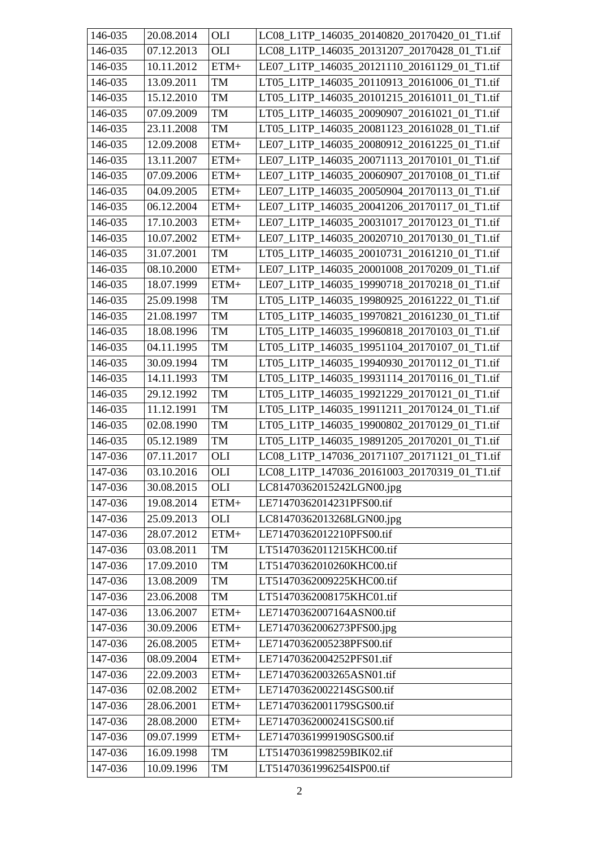| 146-035               | 20.08.2014              | OLI      | LC08_L1TP_146035_20140820_20170420_01_T1.tif |
|-----------------------|-------------------------|----------|----------------------------------------------|
| 146-035               | 07.12.2013              | OLI      | LC08_L1TP_146035_20131207_20170428_01_T1.tif |
| 146-035               | 10.11.2012              | $ETM+$   | LE07_L1TP_146035_20121110_20161129_01_T1.tif |
| 146-035               | 13.09.2011              | TM       | LT05_L1TP_146035_20110913_20161006_01_T1.tif |
| 146-035               | 15.12.2010              | TM       | LT05_L1TP_146035_20101215_20161011_01_T1.tif |
| 146-035               | 07.09.2009              | TM       | LT05_L1TP_146035_20090907_20161021_01_T1.tif |
| 146-035               | 23.11.2008              | TM       | LT05 L1TP 146035 20081123 20161028 01 T1.tif |
| 146-035               | 12.09.2008              | $ETM+$   | LE07_L1TP_146035_20080912_20161225_01_T1.tif |
| 146-035               | 13.11.2007              | $ETM+$   | LE07_L1TP_146035_20071113_20170101_01_T1.tif |
| 146-035               | 07.09.2006              | $ETM+$   | LE07_L1TP_146035_20060907_20170108_01_T1.tif |
| 146-035               | 04.09.2005              | $ETM+$   | LE07_L1TP_146035_20050904_20170113_01_T1.tif |
| 146-035               | 06.12.2004              | $ETM+$   | LE07_L1TP_146035_20041206_20170117_01_T1.tif |
| 146-035               | 17.10.2003              | $ETM+$   | LE07_L1TP_146035_20031017_20170123_01_T1.tif |
| 146-035               | 10.07.2002              | $ETM+$   | LE07 L1TP 146035 20020710 20170130 01 T1.tif |
| 146-035               | 31.07.2001              | TM       | LT05_L1TP_146035_20010731_20161210_01_T1.tif |
| 146-035               | 08.10.2000              | $ETM+$   | LE07_L1TP_146035_20001008_20170209_01_T1.tif |
| 146-035               | 18.07.1999              | $ETM+$   | LE07_L1TP_146035_19990718_20170218_01_T1.tif |
| 146-035               | 25.09.1998              | TM       | LT05 L1TP 146035 19980925 20161222 01 T1.tif |
| 146-035               | 21.08.1997              | $\rm TM$ | LT05 L1TP 146035 19970821 20161230 01 T1.tif |
| 146-035               | 18.08.1996              | TM       | LT05_L1TP_146035_19960818_20170103_01_T1.tif |
| 146-035               | 04.11.1995              | TM       | LT05_L1TP_146035_19951104_20170107_01 T1.tif |
| 146-035               | 30.09.1994              | TM       | LT05_L1TP_146035_19940930_20170112_01_T1.tif |
| 146-035               | 14.11.1993              | TM       | LT05_L1TP_146035_19931114_20170116_01_T1.tif |
| 146-035               | 29.12.1992              | TM       | LT05_L1TP_146035_19921229_20170121_01_T1.tif |
| 146-035               | 11.12.1991              | TM       | LT05_L1TP_146035_19911211_20170124_01_T1.tif |
| 146-035               | 02.08.1990              | TM       | LT05 L1TP 146035 19900802 20170129 01 T1.tif |
| 146-035               | 05.12.1989              | TM       | LT05_L1TP_146035_19891205_20170201_01_T1.tif |
| 147-036               | 07.11.2017              | OLI      | LC08 L1TP 147036 20171107 20171121 01 T1.tif |
| $\overline{1}$ 47-036 | $\overline{03.10.2016}$ | OLI      | LC08_L1TP_147036_20161003_20170319_01_T1.tif |
| 147-036               | 30.08.2015              | OLI      | LC81470362015242LGN00.jpg                    |
| 147-036               | 19.08.2014              | ETM+     | LE71470362014231PFS00.tif                    |
| 147-036               | 25.09.2013              | OLI      | LC81470362013268LGN00.jpg                    |
| 147-036               | 28.07.2012              | $ETM+$   | LE71470362012210PFS00.tif                    |
| 147-036               | 03.08.2011              | TM       | LT51470362011215KHC00.tif                    |
| 147-036               | 17.09.2010              | TM       | LT51470362010260KHC00.tif                    |
| 147-036               | 13.08.2009              | TM       | LT51470362009225KHC00.tif                    |
| 147-036               | 23.06.2008              | $\rm TM$ | LT51470362008175KHC01.tif                    |
| 147-036               | 13.06.2007              | ETM+     | LE71470362007164ASN00.tif                    |
| 147-036               | 30.09.2006              | $ETM+$   | LE71470362006273PFS00.jpg                    |
| 147-036               | 26.08.2005              | $ETM+$   | LE71470362005238PFS00.tif                    |
| 147-036               | 08.09.2004              | $ETM+$   | LE71470362004252PFS01.tif                    |
| 147-036               | 22.09.2003              | $ETM+$   | LE71470362003265ASN01.tif                    |
| 147-036               | 02.08.2002              | $ETM+$   | LE71470362002214SGS00.tif                    |
| 147-036               | 28.06.2001              | $ETM+$   | LE71470362001179SGS00.tif                    |
| 147-036               | 28.08.2000              | $ETM+$   | LE71470362000241SGS00.tif                    |
| 147-036               | 09.07.1999              | $ETM+$   | LE71470361999190SGS00.tif                    |
| 147-036               | 16.09.1998              | TM       | LT51470361998259BIK02.tif                    |
| 147-036               | 10.09.1996              | TM       | LT51470361996254ISP00.tif                    |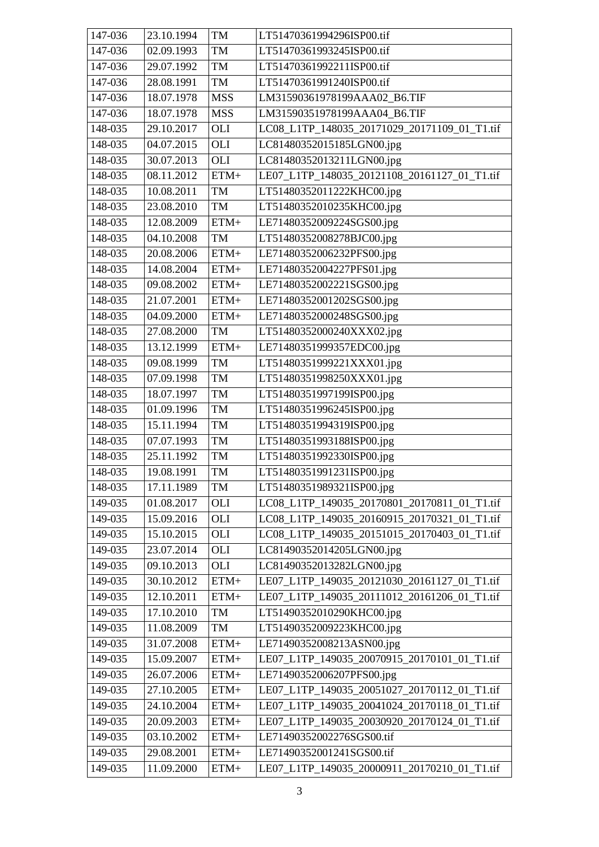| 147-036 | 23.10.1994 | TM            | LT51470361994296ISP00.tif                    |
|---------|------------|---------------|----------------------------------------------|
| 147-036 | 02.09.1993 | TM            | LT51470361993245ISP00.tif                    |
| 147-036 | 29.07.1992 | TM            | LT51470361992211ISP00.tif                    |
| 147-036 | 28.08.1991 | TM            | LT51470361991240ISP00.tif                    |
| 147-036 | 18.07.1978 | <b>MSS</b>    | LM31590361978199AAA02_B6.TIF                 |
| 147-036 | 18.07.1978 | <b>MSS</b>    | LM31590351978199AAA04_B6.TIF                 |
| 148-035 | 29.10.2017 | OLI           | LC08_L1TP_148035_20171029_20171109_01_T1.tif |
| 148-035 | 04.07.2015 | OLI           | LC81480352015185LGN00.jpg                    |
| 148-035 | 30.07.2013 | OLI           | LC81480352013211LGN00.jpg                    |
| 148-035 | 08.11.2012 | $ETM+$        | LE07_L1TP_148035_20121108_20161127_01_T1.tif |
| 148-035 | 10.08.2011 | TM            | LT51480352011222KHC00.jpg                    |
| 148-035 | 23.08.2010 | TM            | LT51480352010235KHC00.jpg                    |
| 148-035 | 12.08.2009 | $ETM+$        | LE71480352009224SGS00.jpg                    |
| 148-035 | 04.10.2008 | TM            | LT51480352008278BJC00.jpg                    |
| 148-035 | 20.08.2006 | $ETM+$        | LE71480352006232PFS00.jpg                    |
| 148-035 | 14.08.2004 | $ETM+$        | LE71480352004227PFS01.jpg                    |
| 148-035 | 09.08.2002 | $ETM+$        | LE71480352002221SGS00.jpg                    |
| 148-035 | 21.07.2001 | $ETM+$        | LE71480352001202SGS00.jpg                    |
| 148-035 | 04.09.2000 | $ETM+$        | LE71480352000248SGS00.jpg                    |
| 148-035 | 27.08.2000 | TM            | LT51480352000240XXX02.jpg                    |
| 148-035 | 13.12.1999 | $ETM+$        | LE71480351999357EDC00.jpg                    |
| 148-035 | 09.08.1999 | TM            | LT51480351999221XXX01.jpg                    |
| 148-035 | 07.09.1998 | TM            | LT51480351998250XXX01.jpg                    |
| 148-035 | 18.07.1997 | TM            | LT51480351997199ISP00.jpg                    |
| 148-035 | 01.09.1996 | TM            | LT51480351996245ISP00.jpg                    |
| 148-035 | 15.11.1994 | TM            | LT51480351994319ISP00.jpg                    |
| 148-035 | 07.07.1993 | TM            | LT51480351993188ISP00.jpg                    |
| 148-035 | 25.11.1992 | TM            | LT51480351992330ISP00.jpg                    |
| 148-035 | 19.08.1991 | TM            | LT51480351991231ISP00.jpg                    |
| 148-035 | 17.11.1989 | TM            | LT51480351989321ISP00.jpg                    |
| 149-035 | 01.08.2017 | OLI           | LC08_L1TP_149035_20170801_20170811_01_T1.tif |
| 149-035 | 15.09.2016 | OLI           | LC08_L1TP_149035_20160915_20170321_01_T1.tif |
| 149-035 | 15.10.2015 | OLI           | LC08_L1TP_149035_20151015_20170403_01_T1.tif |
| 149-035 | 23.07.2014 | OLI           | LC81490352014205LGN00.jpg                    |
| 149-035 | 09.10.2013 | OLI           | LC81490352013282LGN00.jpg                    |
| 149-035 | 30.10.2012 | $ETM+$        | LE07_L1TP_149035_20121030_20161127_01_T1.tif |
| 149-035 | 12.10.2011 | $ETM+$        | LE07_L1TP_149035_20111012_20161206_01_T1.tif |
| 149-035 | 17.10.2010 | $\mathbf{TM}$ | LT51490352010290KHC00.jpg                    |
| 149-035 | 11.08.2009 | TM            | LT51490352009223KHC00.jpg                    |
| 149-035 | 31.07.2008 | $ETM+$        | LE71490352008213ASN00.jpg                    |
| 149-035 | 15.09.2007 | $ETM+$        | LE07_L1TP_149035_20070915_20170101_01_T1.tif |
| 149-035 | 26.07.2006 | $ETM+$        | LE71490352006207PFS00.jpg                    |
| 149-035 | 27.10.2005 | $ETM+$        | LE07_L1TP_149035_20051027_20170112_01_T1.tif |
| 149-035 | 24.10.2004 | $ETM+$        | LE07_L1TP_149035_20041024_20170118_01_T1.tif |
| 149-035 | 20.09.2003 | $ETM+$        | LE07_L1TP_149035_20030920_20170124_01_T1.tif |
| 149-035 | 03.10.2002 | $ETM+$        | LE71490352002276SGS00.tif                    |
| 149-035 | 29.08.2001 | $ETM+$        | LE71490352001241SGS00.tif                    |
| 149-035 | 11.09.2000 | $ETM+$        | LE07_L1TP_149035_20000911_20170210_01_T1.tif |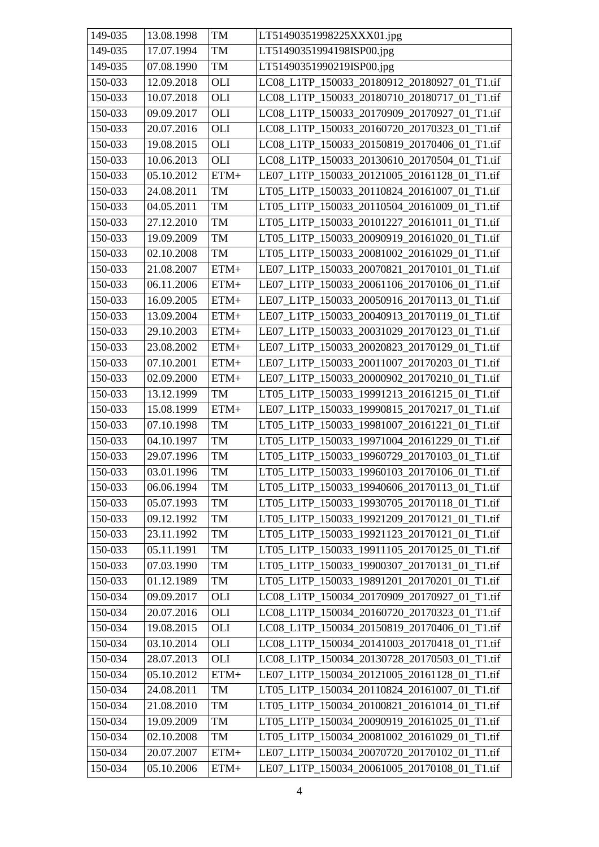| 149-035 | 13.08.1998 | TM         | LT51490351998225XXX01.jpg                    |
|---------|------------|------------|----------------------------------------------|
| 149-035 | 17.07.1994 | TM         | LT51490351994198ISP00.jpg                    |
| 149-035 | 07.08.1990 | <b>TM</b>  | LT51490351990219ISP00.jpg                    |
| 150-033 | 12.09.2018 | OLI        | LC08 L1TP 150033 20180912 20180927 01 T1.tif |
| 150-033 | 10.07.2018 | <b>OLI</b> | LC08 L1TP 150033 20180710 20180717 01 T1.tif |
| 150-033 | 09.09.2017 | <b>OLI</b> | LC08_L1TP_150033_20170909_20170927_01_T1.tif |
| 150-033 | 20.07.2016 | <b>OLI</b> | LC08 L1TP 150033 20160720 20170323 01 T1.tif |
| 150-033 | 19.08.2015 | <b>OLI</b> | LC08_L1TP_150033_20150819_20170406_01_T1.tif |
| 150-033 | 10.06.2013 | OLI        | LC08_L1TP_150033_20130610_20170504_01_T1.tif |
| 150-033 | 05.10.2012 | $ETM+$     | LE07_L1TP_150033_20121005_20161128_01_T1.tif |
| 150-033 | 24.08.2011 | TM         | LT05_L1TP_150033_20110824_20161007_01_T1.tif |
| 150-033 | 04.05.2011 | TM         | LT05_L1TP_150033_20110504_20161009_01_T1.tif |
| 150-033 | 27.12.2010 | TM         | LT05_L1TP_150033_20101227_20161011_01_T1.tif |
| 150-033 | 19.09.2009 | TM         | LT05_L1TP_150033_20090919_20161020_01_T1.tif |
| 150-033 | 02.10.2008 | TM         | LT05 L1TP 150033 20081002 20161029 01 T1.tif |
| 150-033 | 21.08.2007 | $ETM+$     | LE07_L1TP_150033_20070821_20170101_01_T1.tif |
| 150-033 | 06.11.2006 | $ETM+$     | LE07_L1TP_150033_20061106_20170106_01_T1.tif |
| 150-033 | 16.09.2005 | $ETM+$     | LE07_L1TP_150033_20050916_20170113_01_T1.tif |
| 150-033 | 13.09.2004 | $ETM+$     | LE07 L1TP 150033 20040913 20170119 01 T1.tif |
| 150-033 | 29.10.2003 | $ETM+$     | LE07_L1TP_150033_20031029_20170123_01_T1.tif |
| 150-033 | 23.08.2002 | $ETM+$     | LE07_L1TP_150033_20020823_20170129_01_T1.tif |
| 150-033 | 07.10.2001 | $ETM+$     | LE07_L1TP_150033_20011007_20170203_01_T1.tif |
| 150-033 | 02.09.2000 | $ETM+$     | LE07_L1TP_150033_20000902_20170210_01_T1.tif |
| 150-033 | 13.12.1999 | TM         | LT05_L1TP_150033_19991213_20161215_01_T1.tif |
| 150-033 | 15.08.1999 | $ETM+$     | LE07_L1TP_150033_19990815_20170217_01_T1.tif |
| 150-033 | 07.10.1998 | TM         | LT05_L1TP_150033_19981007_20161221_01_T1.tif |
| 150-033 | 04.10.1997 | TM         | LT05_L1TP_150033_19971004_20161229_01_T1.tif |
| 150-033 | 29.07.1996 | TM         | LT05 L1TP 150033 19960729 20170103 01 T1.tif |
| 150-033 | 03.01.1996 | TM         | LT05_L1TP_150033_19960103_20170106_01_T1.tif |
| 150-033 | 06.06.1994 | TM         | LT05_L1TP_150033_19940606_20170113_01_T1.tif |
| 150-033 | 05.07.1993 | TM         | LT05 L1TP 150033 19930705 20170118 01 T1.tif |
| 150-033 | 09.12.1992 | TM         | LT05_L1TP_150033_19921209_20170121_01_T1.tif |
| 150-033 | 23.11.1992 | TM         | LT05 L1TP 150033 19921123 20170121 01 T1.tif |
| 150-033 | 05.11.1991 | TM         | LT05_L1TP_150033_19911105_20170125_01_T1.tif |
| 150-033 | 07.03.1990 | TM         | LT05_L1TP_150033_19900307_20170131_01_T1.tif |
| 150-033 | 01.12.1989 | TM         | LT05_L1TP_150033_19891201_20170201_01_T1.tif |
| 150-034 | 09.09.2017 | OLI        | LC08_L1TP_150034_20170909_20170927_01_T1.tif |
| 150-034 | 20.07.2016 | OLI        | LC08_L1TP_150034_20160720_20170323_01_T1.tif |
| 150-034 | 19.08.2015 | OLI        | LC08_L1TP_150034_20150819_20170406_01_T1.tif |
| 150-034 | 03.10.2014 | OLI        | LC08_L1TP_150034_20141003_20170418_01_T1.tif |
| 150-034 | 28.07.2013 | OLI        | LC08_L1TP_150034_20130728_20170503_01_T1.tif |
| 150-034 | 05.10.2012 | $ETM+$     | LE07_L1TP_150034_20121005_20161128_01_T1.tif |
| 150-034 | 24.08.2011 | TM         | LT05_L1TP_150034_20110824_20161007_01_T1.tif |
| 150-034 | 21.08.2010 | <b>TM</b>  | LT05_L1TP_150034_20100821_20161014_01_T1.tif |
| 150-034 | 19.09.2009 | TM         | LT05_L1TP_150034_20090919_20161025_01_T1.tif |
| 150-034 | 02.10.2008 | TM         | LT05_L1TP_150034_20081002_20161029_01_T1.tif |
| 150-034 | 20.07.2007 | $ETM+$     | LE07_L1TP_150034_20070720_20170102_01_T1.tif |
| 150-034 | 05.10.2006 | $ETM+$     | LE07_L1TP_150034_20061005_20170108_01_T1.tif |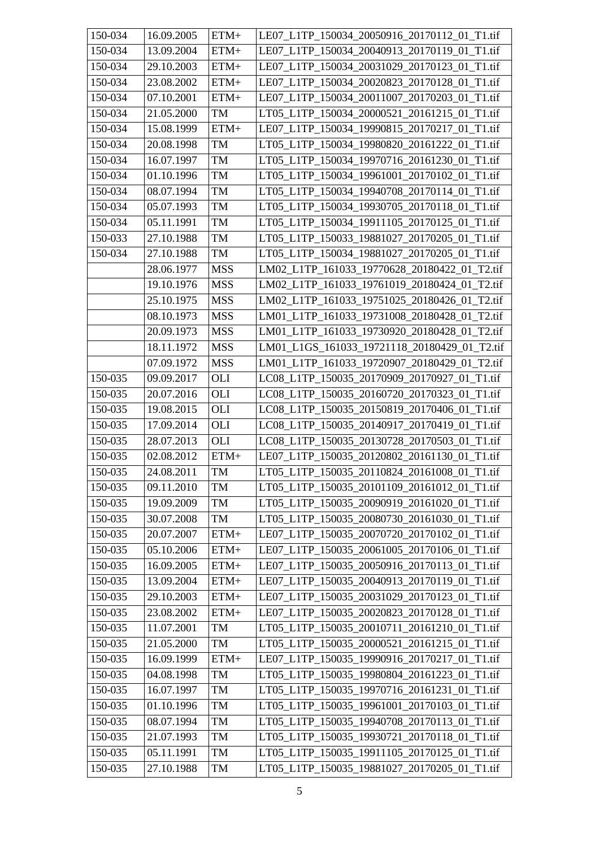| 150-034 | 16.09.2005 | $ETM+$         | LE07 L1TP 150034 20050916 20170112 01 T1.tif |
|---------|------------|----------------|----------------------------------------------|
| 150-034 | 13.09.2004 | $ETM+$         | LE07 L1TP 150034 20040913 20170119 01 T1.tif |
| 150-034 | 29.10.2003 | $ETM+$         | LE07_L1TP_150034_20031029_20170123_01_T1.tif |
| 150-034 | 23.08.2002 | $ETM+$         | LE07 L1TP 150034 20020823 20170128 01 T1.tif |
| 150-034 | 07.10.2001 | $ETM+$         | LE07_L1TP_150034_20011007_20170203_01_T1.tif |
| 150-034 | 21.05.2000 | TM             | LT05_L1TP_150034_20000521_20161215_01_T1.tif |
| 150-034 | 15.08.1999 | $ETM+$         | LE07 L1TP 150034 19990815 20170217 01 T1.tif |
| 150-034 | 20.08.1998 | T <sub>M</sub> | LT05 L1TP 150034 19980820 20161222 01 T1.tif |
| 150-034 | 16.07.1997 | TM             | LT05_L1TP_150034_19970716_20161230_01_T1.tif |
| 150-034 | 01.10.1996 | TM             | LT05_L1TP_150034_19961001_20170102_01_T1.tif |
| 150-034 | 08.07.1994 | TM             | LT05_L1TP_150034_19940708_20170114_01_T1.tif |
| 150-034 | 05.07.1993 | TM             | LT05_L1TP_150034_19930705_20170118_01_T1.tif |
| 150-034 | 05.11.1991 | TM             | LT05_L1TP_150034_19911105_20170125_01_T1.tif |
| 150-033 | 27.10.1988 | TM             | LT05_L1TP_150033_19881027_20170205_01_T1.tif |
| 150-034 | 27.10.1988 | TM             | LT05_L1TP_150034_19881027_20170205_01_T1.tif |
|         | 28.06.1977 | <b>MSS</b>     | LM02_L1TP_161033_19770628_20180422_01_T2.tif |
|         | 19.10.1976 | <b>MSS</b>     | LM02_L1TP_161033_19761019_20180424_01_T2.tif |
|         | 25.10.1975 | <b>MSS</b>     | LM02_L1TP_161033_19751025_20180426_01_T2.tif |
|         | 08.10.1973 | <b>MSS</b>     | LM01 L1TP 161033 19731008 20180428 01 T2.tif |
|         | 20.09.1973 | <b>MSS</b>     | LM01_L1TP_161033_19730920_20180428_01_T2.tif |
|         | 18.11.1972 | <b>MSS</b>     | LM01_L1GS_161033_19721118_20180429_01_T2.tif |
|         | 07.09.1972 | <b>MSS</b>     | LM01_L1TP_161033_19720907_20180429_01_T2.tif |
| 150-035 | 09.09.2017 | OLI            | LC08_L1TP_150035_20170909_20170927_01_T1.tif |
| 150-035 | 20.07.2016 | <b>OLI</b>     | LC08_L1TP_150035_20160720_20170323_01_T1.tif |
| 150-035 | 19.08.2015 | <b>OLI</b>     | LC08_L1TP_150035_20150819_20170406_01_T1.tif |
| 150-035 | 17.09.2014 | <b>OLI</b>     | LC08 L1TP 150035 20140917 20170419 01 T1.tif |
| 150-035 | 28.07.2013 | <b>OLI</b>     | LC08_L1TP_150035_20130728_20170503_01_T1.tif |
| 150-035 | 02.08.2012 | $ETM+$         | LE07_L1TP_150035_20120802_20161130_01_T1.tif |
| 150-035 | 24.08.2011 | TM             | LT05 L1TP 150035 20110824 20161008 01 T1.tif |
| 150-035 | 09.11.2010 | TM             | LT05 L1TP 150035 20101109 20161012 01 T1.tif |
| 150-035 | 19.09.2009 | TM             | LT05_L1TP_150035_20090919_20161020_01_T1.tif |
| 150-035 | 30.07.2008 | TM             | LT05_L1TP_150035_20080730_20161030_01_T1.tif |
| 150-035 | 20.07.2007 | $ETM+$         | LE07 L1TP 150035 20070720 20170102 01 T1.tif |
| 150-035 | 05.10.2006 | $ETM+$         | LE07_L1TP_150035_20061005_20170106_01_T1.tif |
| 150-035 | 16.09.2005 | $ETM+$         | LE07 L1TP 150035 20050916 20170113 01 T1.tif |
| 150-035 | 13.09.2004 | $ETM+$         | LE07 L1TP 150035 20040913 20170119 01 T1.tif |
| 150-035 | 29.10.2003 | $ETM+$         | LE07_L1TP_150035_20031029_20170123_01_T1.tif |
| 150-035 | 23.08.2002 | $ETM+$         | LE07 L1TP 150035 20020823 20170128 01 T1.tif |
| 150-035 | 11.07.2001 | TM             | LT05_L1TP_150035_20010711_20161210_01_T1.tif |
| 150-035 | 21.05.2000 | TM             | LT05_L1TP_150035_20000521_20161215_01_T1.tif |
| 150-035 | 16.09.1999 | $ETM+$         | LE07_L1TP_150035_19990916_20170217_01_T1.tif |
| 150-035 | 04.08.1998 | TM             | LT05_L1TP_150035_19980804_20161223_01_T1.tif |
| 150-035 | 16.07.1997 | TM             | LT05_L1TP_150035_19970716_20161231_01_T1.tif |
| 150-035 | 01.10.1996 | TM             | LT05_L1TP_150035_19961001_20170103_01_T1.tif |
| 150-035 | 08.07.1994 | TM             | LT05_L1TP_150035_19940708_20170113_01_T1.tif |
| 150-035 | 21.07.1993 | TM             | LT05_L1TP_150035_19930721_20170118_01_T1.tif |
| 150-035 | 05.11.1991 | TM             | LT05_L1TP_150035_19911105_20170125_01_T1.tif |
| 150-035 | 27.10.1988 | TM             | LT05_L1TP_150035_19881027_20170205_01_T1.tif |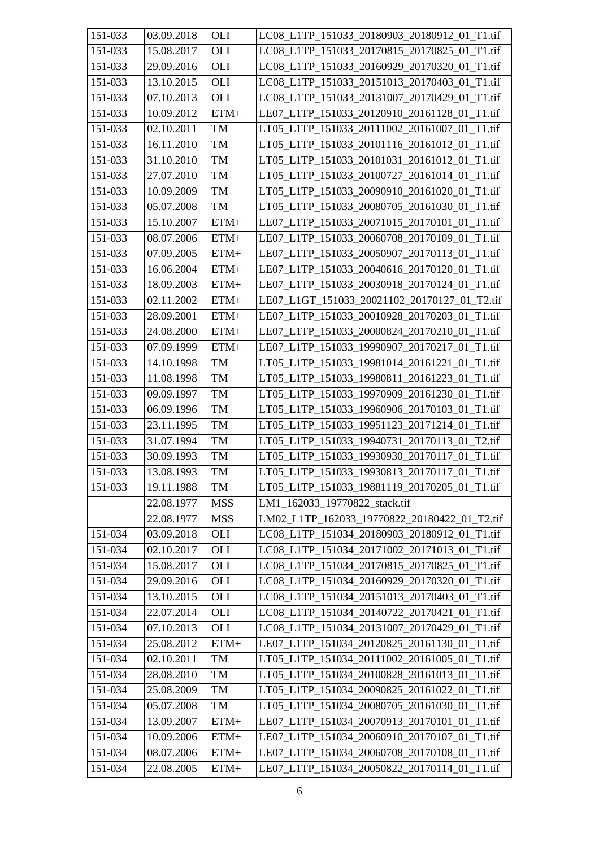| 151-033 | 03.09.2018 | OLI        | LC08_L1TP_151033_20180903_20180912_01_T1.tif |
|---------|------------|------------|----------------------------------------------|
| 151-033 | 15.08.2017 | <b>OLI</b> | LC08 L1TP 151033 20170815 20170825 01 T1.tif |
| 151-033 | 29.09.2016 | <b>OLI</b> | LC08_L1TP_151033_20160929_20170320_01_T1.tif |
| 151-033 | 13.10.2015 | OLI        | LC08_L1TP_151033_20151013_20170403_01_T1.tif |
| 151-033 | 07.10.2013 | <b>OLI</b> | LC08_L1TP_151033_20131007_20170429_01_T1.tif |
| 151-033 | 10.09.2012 | $ETM+$     | LE07_L1TP_151033_20120910_20161128_01_T1.tif |
| 151-033 | 02.10.2011 | TM         | LT05 L1TP 151033 20111002 20161007 01 T1.tif |
| 151-033 | 16.11.2010 | TM         | LT05_L1TP_151033_20101116_20161012_01_T1.tif |
| 151-033 | 31.10.2010 | TM         | LT05_L1TP_151033_20101031_20161012_01_T1.tif |
| 151-033 | 27.07.2010 | TM         | LT05_L1TP_151033_20100727_20161014_01_T1.tif |
| 151-033 | 10.09.2009 | TM         | LT05_L1TP_151033_20090910_20161020_01_T1.tif |
| 151-033 | 05.07.2008 | TM         | LT05_L1TP_151033_20080705_20161030_01_T1.tif |
| 151-033 | 15.10.2007 | $ETM+$     | LE07_L1TP_151033_20071015_20170101_01_T1.tif |
| 151-033 | 08.07.2006 | $ETM+$     | LE07_L1TP_151033_20060708_20170109_01_T1.tif |
| 151-033 | 07.09.2005 | $ETM+$     | LE07 L1TP 151033 20050907 20170113 01 T1.tif |
| 151-033 | 16.06.2004 | $ETM+$     | LE07_L1TP_151033_20040616_20170120_01_T1.tif |
| 151-033 | 18.09.2003 | $ETM+$     | LE07_L1TP_151033_20030918_20170124_01_T1.tif |
| 151-033 | 02.11.2002 | $ETM+$     | LE07_L1GT_151033_20021102_20170127_01_T2.tif |
| 151-033 | 28.09.2001 | $ETM+$     | LE07 L1TP_151033_20010928_20170203_01_T1.tif |
| 151-033 | 24.08.2000 | $ETM+$     | LE07_L1TP_151033_20000824_20170210_01_T1.tif |
| 151-033 | 07.09.1999 | $ETM+$     | LE07_L1TP_151033_19990907_20170217_01_T1.tif |
| 151-033 | 14.10.1998 | TM         | LT05_L1TP_151033_19981014_20161221_01_T1.tif |
| 151-033 | 11.08.1998 | TM         | LT05_L1TP_151033_19980811_20161223_01_T1.tif |
| 151-033 | 09.09.1997 | TM         | LT05_L1TP_151033_19970909_20161230_01_T1.tif |
| 151-033 | 06.09.1996 | TM         | LT05_L1TP_151033_19960906_20170103_01_T1.tif |
| 151-033 | 23.11.1995 | TM         | LT05_L1TP_151033_19951123_20171214_01_T1.tif |
| 151-033 | 31.07.1994 | TM         | LT05_L1TP_151033_19940731_20170113_01_T2.tif |
| 151-033 | 30.09.1993 | TM         | LT05_L1TP_151033_19930930_20170117_01_T1.tif |
| 151-033 | 13.08.1993 | TM         | LT05_L1TP_151033_19930813_20170117_01_T1.tif |
| 151-033 | 19.11.1988 | TM         | LT05_L1TP_151033_19881119_20170205_01_T1.tif |
|         | 22.08.1977 | <b>MSS</b> | LM1_162033_19770822_stack.tif                |
|         | 22.08.1977 | <b>MSS</b> | LM02_L1TP_162033_19770822_20180422_01_T2.tif |
| 151-034 | 03.09.2018 | OLI        | LC08_L1TP_151034_20180903_20180912_01_T1.tif |
| 151-034 | 02.10.2017 | OLI        | LC08 L1TP 151034 20171002 20171013 01 T1.tif |
| 151-034 | 15.08.2017 | OLI        | LC08 L1TP 151034 20170815 20170825 01 T1.tif |
| 151-034 | 29.09.2016 | OLI        | LC08_L1TP_151034_20160929_20170320_01_T1.tif |
| 151-034 | 13.10.2015 | <b>OLI</b> | LC08_L1TP_151034_20151013_20170403_01_T1.tif |
| 151-034 | 22.07.2014 | OLI        | LC08 L1TP 151034 20140722 20170421 01 T1.tif |
| 151-034 | 07.10.2013 | OLI        | LC08_L1TP_151034_20131007_20170429_01_T1.tif |
| 151-034 | 25.08.2012 | $ETM+$     | LE07_L1TP_151034_20120825_20161130_01_T1.tif |
| 151-034 | 02.10.2011 | TM         | LT05_L1TP_151034_20111002_20161005_01_T1.tif |
| 151-034 | 28.08.2010 | TM         | LT05_L1TP_151034_20100828_20161013_01_T1.tif |
| 151-034 | 25.08.2009 | TM         | LT05_L1TP_151034_20090825_20161022_01_T1.tif |
| 151-034 | 05.07.2008 | TM         | LT05_L1TP_151034_20080705_20161030_01_T1.tif |
| 151-034 | 13.09.2007 | $ETM+$     | LE07_L1TP_151034_20070913_20170101_01_T1.tif |
| 151-034 | 10.09.2006 | $ETM+$     | LE07_L1TP_151034_20060910_20170107_01_T1.tif |
| 151-034 | 08.07.2006 | $ETM+$     | LE07_L1TP_151034_20060708_20170108_01_T1.tif |
| 151-034 | 22.08.2005 | $ETM+$     | LE07_L1TP_151034_20050822_20170114_01_T1.tif |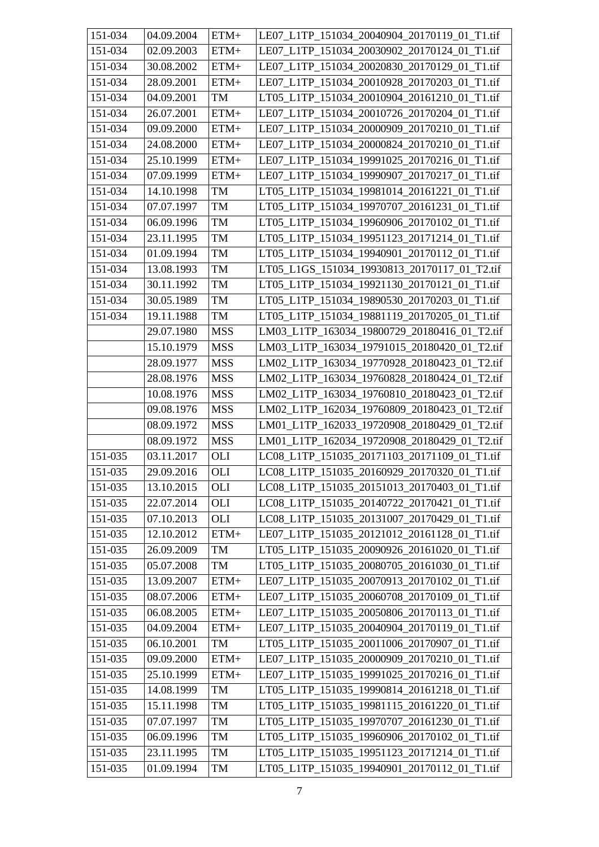| 151-034                | 04.09.2004 | $ETM+$     | LE07_L1TP_151034_20040904_20170119_01_T1.tif |
|------------------------|------------|------------|----------------------------------------------|
| 151-034                | 02.09.2003 | $ETM+$     | LE07 L1TP 151034 20030902 20170124 01 T1.tif |
| 151-034                | 30.08.2002 | $ETM+$     | LE07_L1TP_151034_20020830_20170129_01_T1.tif |
| 151-034                | 28.09.2001 | $ETM+$     | LE07 L1TP 151034 20010928 20170203 01 T1.tif |
| 151-034                | 04.09.2001 | TM         | LT05_L1TP_151034_20010904_20161210_01_T1.tif |
| 151-034                | 26.07.2001 | $ETM+$     | LE07_L1TP_151034_20010726_20170204_01_T1.tif |
| 151-034                | 09.09.2000 | $ETM+$     | LE07 L1TP 151034 20000909 20170210 01 T1.tif |
| 151-034                | 24.08.2000 | $ETM+$     | LE07 L1TP 151034 20000824 20170210 01 T1.tif |
| 151-034                | 25.10.1999 | $ETM+$     | LE07 L1TP 151034 19991025 20170216 01 T1.tif |
| 151-034                | 07.09.1999 | $ETM+$     | LE07_L1TP_151034_19990907_20170217_01_T1.tif |
| 151-034                | 14.10.1998 | TM         | LT05 L1TP 151034_19981014_20161221_01_T1.tif |
| 151-034                | 07.07.1997 | $\rm TM$   | LT05_L1TP_151034_19970707_20161231_01_T1.tif |
| 151-034                | 06.09.1996 | TM         | LT05_L1TP_151034_19960906_20170102_01_T1.tif |
| 151-034                | 23.11.1995 | TM         | LT05_L1TP_151034_19951123_20171214_01_T1.tif |
| 151-034                | 01.09.1994 | <b>TM</b>  | LT05 L1TP 151034 19940901 20170112 01 T1.tif |
| 151-034                | 13.08.1993 | TM         | LT05 L1GS 151034 19930813 20170117 01 T2.tif |
| $\overline{151} - 034$ | 30.11.1992 | TM         | LT05_L1TP_151034_19921130_20170121_01_T1.tif |
| 151-034                | 30.05.1989 | TM         | LT05 L1TP 151034 19890530 20170203 01 T1.tif |
| 151-034                | 19.11.1988 | TM         | LT05_L1TP_151034_19881119_20170205_01_T1.tif |
|                        | 29.07.1980 | <b>MSS</b> | LM03_L1TP_163034_19800729_20180416_01_T2.tif |
|                        | 15.10.1979 | <b>MSS</b> | LM03_L1TP_163034_19791015_20180420_01_T2.tif |
|                        | 28.09.1977 | <b>MSS</b> | LM02_L1TP_163034_19770928_20180423_01_T2.tif |
|                        | 28.08.1976 | <b>MSS</b> | LM02_L1TP_163034_19760828_20180424_01_T2.tif |
|                        | 10.08.1976 | <b>MSS</b> | LM02_L1TP_163034_19760810_20180423_01_T2.tif |
|                        | 09.08.1976 | <b>MSS</b> | LM02_L1TP_162034_19760809_20180423_01_T2.tif |
|                        | 08.09.1972 | <b>MSS</b> | LM01_L1TP_162033_19720908_20180429_01_T2.tif |
|                        | 08.09.1972 | <b>MSS</b> | LM01 L1TP 162034 19720908 20180429 01 T2.tif |
| 151-035                | 03.11.2017 | OLI        | LC08_L1TP_151035_20171103_20171109_01_T1.tif |
| 151-035                | 29.09.2016 | <b>OLI</b> | LC08_L1TP_151035_20160929_20170320_01_T1.tif |
| 151-035                | 13.10.2015 | OLI        | LC08_L1TP_151035_20151013_20170403_01_T1.tif |
| 151-035                | 22.07.2014 | OLI        | LC08_L1TP_151035_20140722_20170421_01_T1.tif |
| 151-035                | 07.10.2013 | <b>OLI</b> | LC08_L1TP_151035_20131007_20170429_01_T1.tif |
| 151-035                | 12.10.2012 | $ETM+$     | LE07 L1TP 151035 20121012 20161128 01 T1.tif |
| 151-035                | 26.09.2009 | TM         | LT05_L1TP_151035_20090926_20161020_01_T1.tif |
| 151-035                | 05.07.2008 | TM         | LT05_L1TP_151035_20080705_20161030_01_T1.tif |
| 151-035                | 13.09.2007 | $ETM+$     | LE07_L1TP_151035_20070913_20170102_01_T1.tif |
| 151-035                | 08.07.2006 | $ETM+$     | LE07_L1TP_151035_20060708_20170109_01_T1.tif |
| 151-035                | 06.08.2005 | $ETM+$     | LE07_L1TP_151035_20050806_20170113_01_T1.tif |
| 151-035                | 04.09.2004 | $ETM+$     | LE07_L1TP_151035_20040904_20170119_01_T1.tif |
| 151-035                | 06.10.2001 | TM         | LT05_L1TP_151035_20011006_20170907_01_T1.tif |
| 151-035                | 09.09.2000 | $ETM+$     | LE07_L1TP_151035_20000909_20170210_01_T1.tif |
| 151-035                | 25.10.1999 | $ETM+$     | LE07_L1TP_151035_19991025_20170216_01_T1.tif |
| 151-035                | 14.08.1999 | TM         | LT05_L1TP_151035_19990814_20161218_01_T1.tif |
| 151-035                | 15.11.1998 | TM         | LT05_L1TP_151035_19981115_20161220_01_T1.tif |
| 151-035                | 07.07.1997 | TM         | LT05_L1TP_151035_19970707_20161230_01_T1.tif |
| 151-035                | 06.09.1996 | TM         | LT05_L1TP_151035_19960906_20170102_01_T1.tif |
| 151-035                | 23.11.1995 | TM         | LT05_L1TP_151035_19951123_20171214_01_T1.tif |
| $\overline{1}51 - 035$ | 01.09.1994 | TM         | LT05_L1TP_151035_19940901_20170112_01_T1.tif |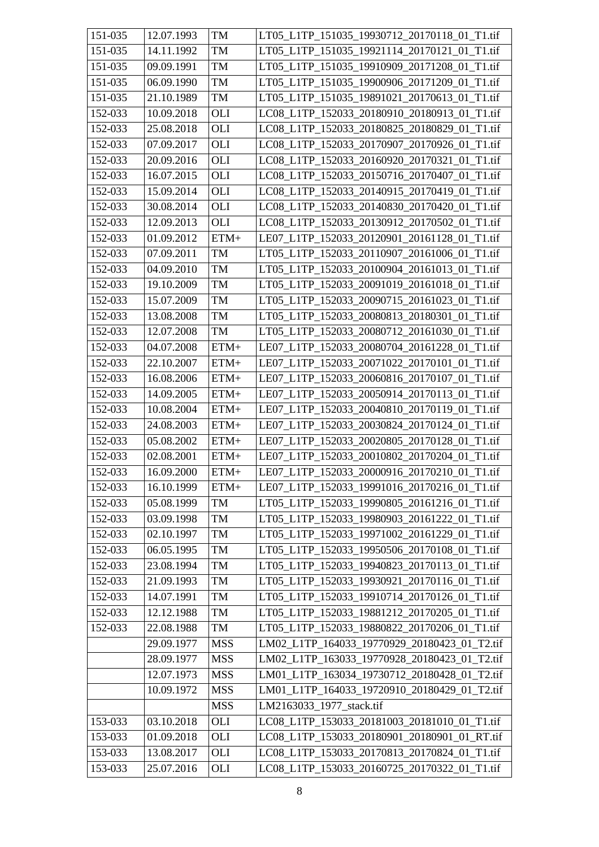| 151-035 | 12.07.1993 | <b>TM</b>  | LT05_L1TP_151035_19930712_20170118_01_T1.tif |
|---------|------------|------------|----------------------------------------------|
| 151-035 | 14.11.1992 | TM         | LT05 L1TP 151035 19921114 20170121 01 T1.tif |
| 151-035 | 09.09.1991 | TM         | LT05_L1TP_151035_19910909_20171208_01_T1.tif |
| 151-035 | 06.09.1990 | TM         | LT05_L1TP_151035_19900906_20171209_01_T1.tif |
| 151-035 | 21.10.1989 | TM         | LT05_L1TP_151035_19891021_20170613_01_T1.tif |
| 152-033 | 10.09.2018 | <b>OLI</b> | LC08_L1TP_152033_20180910_20180913_01_T1.tif |
| 152-033 | 25.08.2018 | <b>OLI</b> | LC08 L1TP 152033 20180825 20180829 01 T1.tif |
| 152-033 | 07.09.2017 | <b>OLI</b> | LC08_L1TP_152033_20170907_20170926_01_T1.tif |
| 152-033 | 20.09.2016 | OLI        | LC08 L1TP 152033 20160920 20170321 01 T1.tif |
| 152-033 | 16.07.2015 | <b>OLI</b> | LC08_L1TP_152033_20150716_20170407_01_T1.tif |
| 152-033 | 15.09.2014 | OLI        | LC08_L1TP_152033_20140915_20170419_01_T1.tif |
| 152-033 | 30.08.2014 | OLI        | LC08_L1TP_152033_20140830_20170420_01_T1.tif |
| 152-033 | 12.09.2013 | OLI        | LC08_L1TP_152033_20130912_20170502_01_T1.tif |
| 152-033 | 01.09.2012 | $ETM+$     | LE07_L1TP_152033_20120901_20161128_01_T1.tif |
| 152-033 | 07.09.2011 | TM         | LT05_L1TP_152033_20110907_20161006_01_T1.tif |
| 152-033 | 04.09.2010 | TM         | LT05_L1TP_152033_20100904_20161013_01_T1.tif |
| 152-033 | 19.10.2009 | TM         | LT05 L1TP 152033 20091019 20161018 01 T1.tif |
| 152-033 | 15.07.2009 | TM         | LT05_L1TP_152033_20090715_20161023_01_T1.tif |
| 152-033 | 13.08.2008 | TM         | LT05_L1TP_152033_20080813_20180301_01_T1.tif |
| 152-033 | 12.07.2008 | <b>TM</b>  | LT05_L1TP_152033_20080712_20161030_01_T1.tif |
| 152-033 | 04.07.2008 | $ETM+$     | LE07_L1TP_152033_20080704_20161228_01_T1.tif |
| 152-033 | 22.10.2007 | $ETM+$     | LE07_L1TP_152033_20071022_20170101_01_T1.tif |
| 152-033 | 16.08.2006 | $ETM+$     | LE07_L1TP_152033_20060816_20170107_01_T1.tif |
| 152-033 | 14.09.2005 | $ETM+$     | LE07 L1TP 152033 20050914 20170113 01 T1.tif |
| 152-033 | 10.08.2004 | $ETM+$     | LE07_L1TP_152033_20040810_20170119_01_T1.tif |
| 152-033 | 24.08.2003 | $ETM+$     | LE07_L1TP_152033_20030824_20170124_01_T1.tif |
| 152-033 | 05.08.2002 | $ETM+$     | LE07_L1TP_152033_20020805_20170128_01_T1.tif |
| 152-033 | 02.08.2001 | $ETM+$     | LE07_L1TP_152033_20010802_20170204_01_T1.tif |
| 152-033 | 16.09.2000 | $ETM+$     | LE07_L1TP_152033_20000916_20170210_01_T1.tif |
| 152-033 | 16.10.1999 | $ETM+$     | LE07_L1TP_152033_19991016_20170216_01_T1.tif |
| 152-033 | 05.08.1999 | TM         | LT05 L1TP 152033 19990805 20161216 01 T1.tif |
| 152-033 | 03.09.1998 | TM         | LT05 L1TP 152033 19980903 20161222 01 T1.tif |
| 152-033 | 02.10.1997 | TM         | LT05 L1TP 152033 19971002 20161229 01 T1.tif |
| 152-033 | 06.05.1995 | TM         | LT05_L1TP_152033_19950506_20170108_01_T1.tif |
| 152-033 | 23.08.1994 | TM         | LT05 L1TP 152033 19940823 20170113 01 T1.tif |
| 152-033 | 21.09.1993 | TM         | LT05_L1TP_152033_19930921_20170116_01_T1.tif |
| 152-033 | 14.07.1991 | TM         | LT05_L1TP_152033_19910714_20170126_01_T1.tif |
| 152-033 | 12.12.1988 | TM         | LT05_L1TP_152033_19881212_20170205_01_T1.tif |
| 152-033 | 22.08.1988 | TM         | LT05_L1TP_152033_19880822_20170206_01_T1.tif |
|         | 29.09.1977 | <b>MSS</b> | LM02_L1TP_164033_19770929_20180423_01_T2.tif |
|         | 28.09.1977 | <b>MSS</b> | LM02_L1TP_163033_19770928_20180423_01_T2.tif |
|         | 12.07.1973 | <b>MSS</b> | LM01_L1TP_163034_19730712_20180428_01_T2.tif |
|         | 10.09.1972 | <b>MSS</b> | LM01_L1TP_164033_19720910_20180429_01_T2.tif |
|         |            | <b>MSS</b> | LM2163033_1977_stack.tif                     |
| 153-033 | 03.10.2018 | OLI        | LC08_L1TP_153033_20181003_20181010_01_T1.tif |
| 153-033 | 01.09.2018 | <b>OLI</b> | LC08_L1TP_153033_20180901_20180901_01_RT.tif |
| 153-033 | 13.08.2017 | OLI        | LC08_L1TP_153033_20170813_20170824_01_T1.tif |
| 153-033 | 25.07.2016 | <b>OLI</b> | LC08_L1TP_153033_20160725_20170322_01_T1.tif |